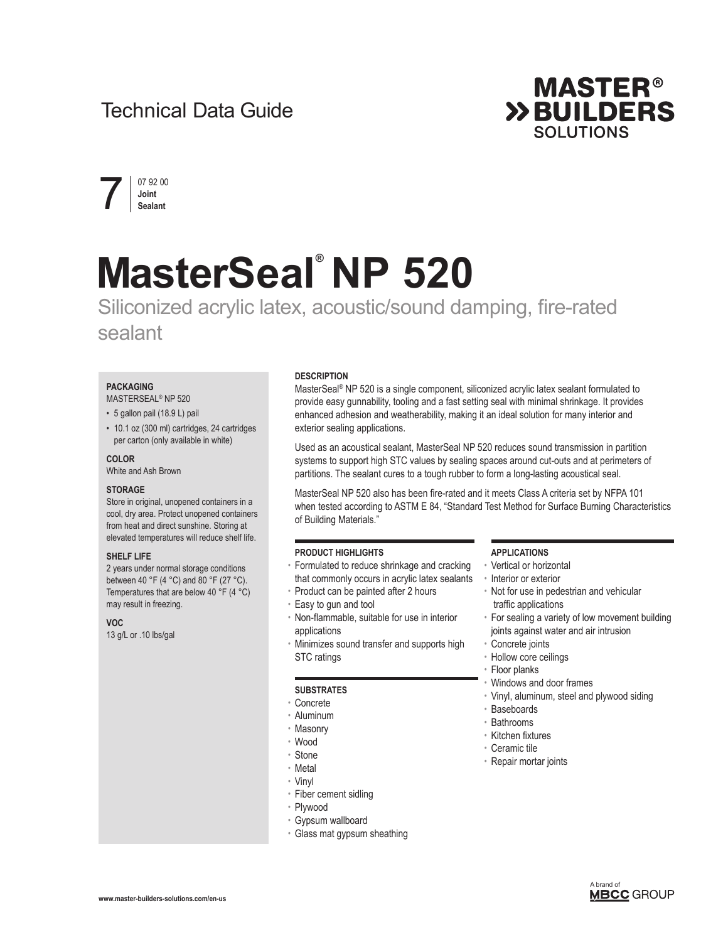# Technical Data Guide





# **MasterSeal® NP 520**

# Siliconized acrylic latex, acoustic/sound damping, fire-rated sealant

#### **PACKAGING**

# MASTERSEAL® NP 520

#### • 5 gallon pail (18.9 L) pail

• 10.1 oz (300 ml) cartridges, 24 cartridges per carton (only available in white)

#### **COLOR**

White and Ash Brown

#### **STORAGE**

Store in original, unopened containers in a cool, dry area. Protect unopened containers from heat and direct sunshine. Storing at elevated temperatures will reduce shelf life.

#### **SHELF LIFE**

2 years under normal storage conditions between 40 °F (4 °C) and 80 °F (27 °C). Temperatures that are below 40 °F (4 °C) may result in freezing.

#### **VOC**

13 g/L or .10 lbs/gal

#### **DESCRIPTION**

MasterSeal® NP 520 is a single component, siliconized acrylic latex sealant formulated to provide easy gunnability, tooling and a fast setting seal with minimal shrinkage. It provides enhanced adhesion and weatherability, making it an ideal solution for many interior and exterior sealing applications.

Used as an acoustical sealant, MasterSeal NP 520 reduces sound transmission in partition systems to support high STC values by sealing spaces around cut-outs and at perimeters of partitions. The sealant cures to a tough rubber to form a long-lasting acoustical seal.

MasterSeal NP 520 also has been fire-rated and it meets Class A criteria set by NFPA 101 when tested according to ASTM E 84, "Standard Test Method for Surface Burning Characteristics of Building Materials."

#### **PRODUCT HIGHLIGHTS**

- Formulated to reduce shrinkage and cracking that commonly occurs in acrylic latex sealants
- Product can be painted after 2 hours
- Easy to gun and tool
- Non-flammable, suitable for use in interior applications
- Minimizes sound transfer and supports high STC ratings

#### **SUBSTRATES**

- Concrete
- Aluminum
- Masonry
- Wood
- Stone
- Metal
- Vinyl
- Fiber cement sidling
- Plywood
- Gypsum wallboard
- Glass mat gypsum sheathing

#### **APPLICATIONS**

- Vertical or horizontal
- Interior or exterior
- Not for use in pedestrian and vehicular traffic applications
- For sealing a variety of low movement building joints against water and air intrusion

#### • Concrete joints

- Hollow core ceilings
- Floor planks
- Windows and door frames
- Vinyl, aluminum, steel and plywood siding
- Baseboards
- Bathrooms
- Kitchen fixtures
- Ceramic tile
- Repair mortar joints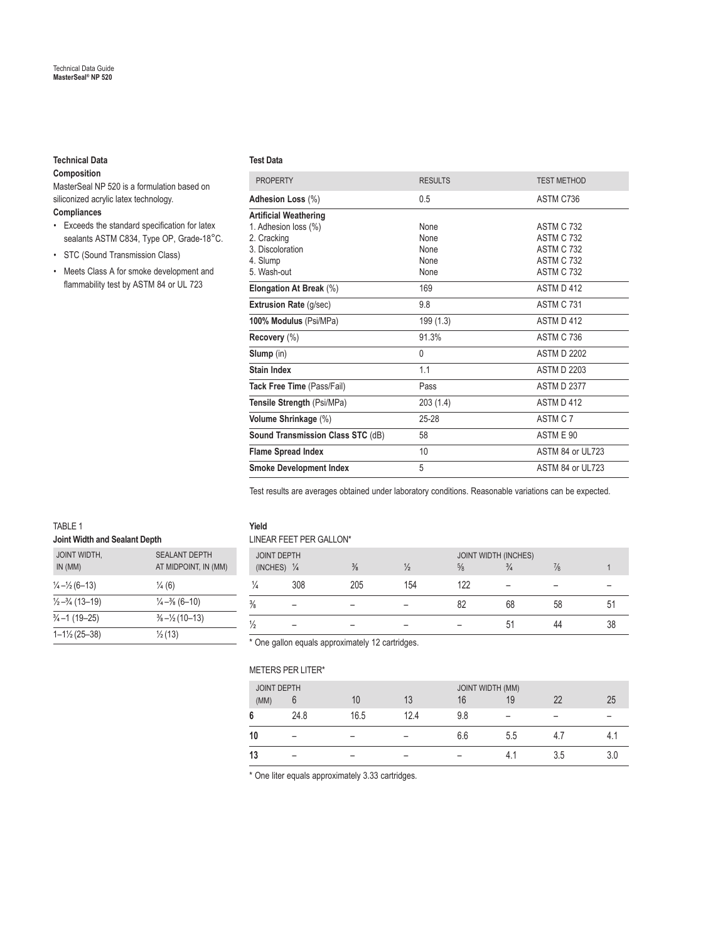# **Technical Data**

# **Composition**

MasterSeal NP 520 is a formulation based on siliconized acrylic latex technology.

# **Compliances**

- • Exceeds the standard specification for latex sealants ASTM C834, Type OP, Grade-18°C.
- STC (Sound Transmission Class)
- Meets Class A for smoke development and flammability test by ASTM 84 or UL 723

#### **Test Data**

| <b>PROPERTY</b>                   | <b>RESULTS</b> | <b>TEST METHOD</b> |
|-----------------------------------|----------------|--------------------|
| Adhesion Loss (%)                 | 0.5            | ASTM C736          |
| <b>Artificial Weathering</b>      |                |                    |
| 1. Adhesion loss (%)              | None           | <b>ASTM C 732</b>  |
| 2. Cracking                       | None           | <b>ASTM C 732</b>  |
| 3 Discoloration                   | None           | <b>ASTM C 732</b>  |
| 4. Slump                          | None           | <b>ASTM C 732</b>  |
| 5. Wash-out                       | None           | <b>ASTM C 732</b>  |
| Elongation At Break (%)           | 169            | ASTM D 412         |
| <b>Extrusion Rate (g/sec)</b>     | 9.8            | ASTM C 731         |
| 100% Modulus (Psi/MPa)            | 199(1.3)       | ASTM D 412         |
| Recovery (%)                      | 91.3%          | <b>ASTM C 736</b>  |
| Slump (in)                        | $\Omega$       | <b>ASTM D 2202</b> |
| Stain Index                       | 1.1            | ASTM D 2203        |
| Tack Free Time (Pass/Fail)        | Pass           | <b>ASTM D 2377</b> |
| Tensile Strength (Psi/MPa)        | 203(1.4)       | ASTM D 412         |
| Volume Shrinkage (%)              | $25 - 28$      | ASTM C 7           |
| Sound Transmission Class STC (dB) | 58             | ASTM E 90          |
| <b>Flame Spread Index</b>         | 10             | ASTM 84 or UL723   |
| <b>Smoke Development Index</b>    | 5              | ASTM 84 or UL723   |
|                                   |                |                    |

Test results are averages obtained under laboratory conditions. Reasonable variations can be expected.

| TABLE 1<br>Joint Width and Sealant Depth |                                              |  |  |  |  |
|------------------------------------------|----------------------------------------------|--|--|--|--|
| <b>JOINT WIDTH,</b><br>IN (MM)           | <b>SEALANT DEPTH</b><br>AT MIDPOINT, IN (MM) |  |  |  |  |
| $\frac{1}{4} - \frac{1}{2} (6 - 13)$     | $\frac{1}{4}$ (6)                            |  |  |  |  |
| $\frac{1}{2} - \frac{3}{4}$ (13–19)      | $\frac{1}{4} - \frac{3}{8}$ (6-10)           |  |  |  |  |
| 3⁄4-1 (19-25)                            | $\frac{3}{8} - \frac{1}{2} (10 - 13)$        |  |  |  |  |
| $1 - 1\frac{1}{2}$ (25-38)               | $\frac{1}{2}$ (13)                           |  |  |  |  |

# **Yield**

| LINEAR FEET PER GALLON*                      |     |               |     |                                              |          |               |  |  |
|----------------------------------------------|-----|---------------|-----|----------------------------------------------|----------|---------------|--|--|
| <b>JOINT DEPTH</b><br>(INCHES) $\frac{1}{4}$ |     | $\frac{3}{8}$ |     | <b>JOINT WIDTH (INCHES)</b><br>$\frac{5}{8}$ | $^{3/4}$ | $\frac{7}{8}$ |  |  |
| $\frac{1}{4}$                                | 308 | 205           | 154 | 122                                          |          |               |  |  |
| $\frac{3}{8}$                                |     |               |     | 82                                           | 68       | 58            |  |  |
| $\frac{1}{2}$                                |     |               |     |                                              | 51       |               |  |  |

\* One gallon equals approximately 12 cartridges.

## METERS PER LITER\*

| <b>JOINT DEPTH</b> |      |      | <b>JOINT WIDTH (MM)</b> |     |     |     |     |
|--------------------|------|------|-------------------------|-----|-----|-----|-----|
| (MM)               |      | 10   | 13                      | 16  | 19  | 22  | 25  |
| 6                  | 24.8 | 16.5 | 12.4                    | 9.8 | -   |     |     |
| 10                 |      |      |                         | 6.6 | 5.5 |     |     |
| 13                 |      |      |                         |     | 4.  | 3.5 | 3.0 |

\* One liter equals approximately 3.33 cartridges.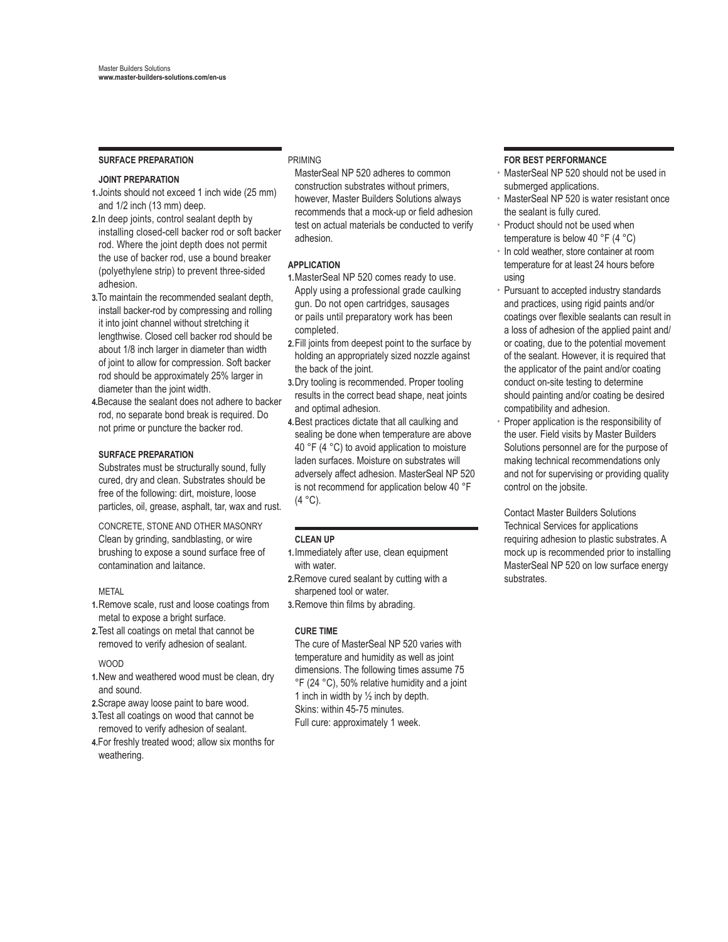#### **SURFACE PREPARATION**

#### **JOINT PREPARATION**

- **1.**Joints should not exceed 1 inch wide (25 mm) and 1/2 inch (13 mm) deep.
- **2.**In deep joints, control sealant depth by installing closed-cell backer rod or soft backer rod. Where the joint depth does not permit the use of backer rod, use a bound breaker (polyethylene strip) to prevent three-sided adhesion.
- **3.**To maintain the recommended sealant depth, install backer-rod by compressing and rolling it into joint channel without stretching it lengthwise. Closed cell backer rod should be about 1/8 inch larger in diameter than width of joint to allow for compression. Soft backer rod should be approximately 25% larger in diameter than the joint width.
- **4.**Because the sealant does not adhere to backer rod, no separate bond break is required. Do not prime or puncture the backer rod.

#### **SURFACE PREPARATION**

Substrates must be structurally sound, fully cured, dry and clean. Substrates should be free of the following: dirt, moisture, loose particles, oil, grease, asphalt, tar, wax and rust.

CONCRETE, STONE AND OTHER MASONRY Clean by grinding, sandblasting, or wire brushing to expose a sound surface free of contamination and laitance.

METAL

- **1.**Remove scale, rust and loose coatings from metal to expose a bright surface.
- **2.**Test all coatings on metal that cannot be removed to verify adhesion of sealant.

# WOOD

- **1.**New and weathered wood must be clean, dry and sound.
- **2.**Scrape away loose paint to bare wood.
- **3.**Test all coatings on wood that cannot be removed to verify adhesion of sealant.
- **4.**For freshly treated wood; allow six months for weathering.

#### PRIMING

MasterSeal NP 520 adheres to common construction substrates without primers, however, Master Builders Solutions always recommends that a mock-up or field adhesion test on actual materials be conducted to verify adhesion.

#### **APPLICATION**

- **1.**MasterSeal NP 520 comes ready to use. Apply using a professional grade caulking gun. Do not open cartridges, sausages or pails until preparatory work has been completed.
- **2.**Fill joints from deepest point to the surface by holding an appropriately sized nozzle against the back of the joint.
- **3.**Dry tooling is recommended. Proper tooling results in the correct bead shape, neat joints and optimal adhesion.
- **4.**Best practices dictate that all caulking and sealing be done when temperature are above 40 °F (4 °C) to avoid application to moisture laden surfaces. Moisture on substrates will adversely affect adhesion. MasterSeal NP 520 is not recommend for application below 40 °F  $(4 °C)$ .

#### **CLEAN UP**

- **1.**Immediately after use, clean equipment with water.
- **2.**Remove cured sealant by cutting with a sharpened tool or water.
- **3.**Remove thin films by abrading.

#### **CURE TIME**

The cure of MasterSeal NP 520 varies with temperature and humidity as well as joint dimensions. The following times assume 75 °F (24 °C), 50% relative humidity and a joint 1 inch in width by  $\frac{1}{2}$  inch by depth. Skins: within 45-75 minutes. Full cure: approximately 1 week.

## **FOR BEST PERFORMANCE**

- MasterSeal NP 520 should not be used in submerged applications.
- MasterSeal NP 520 is water resistant once the sealant is fully cured.
- Product should not be used when temperature is below 40 °F (4 °C)
- In cold weather, store container at room temperature for at least 24 hours before using
- Pursuant to accepted industry standards and practices, using rigid paints and/or coatings over flexible sealants can result in a loss of adhesion of the applied paint and/ or coating, due to the potential movement of the sealant. However, it is required that the applicator of the paint and/or coating conduct on-site testing to determine should painting and/or coating be desired compatibility and adhesion.
- Proper application is the responsibility of the user. Field visits by Master Builders Solutions personnel are for the purpose of making technical recommendations only and not for supervising or providing quality control on the jobsite.

Contact Master Builders Solutions Technical Services for applications requiring adhesion to plastic substrates. A mock up is recommended prior to installing MasterSeal NP 520 on low surface energy substrates.